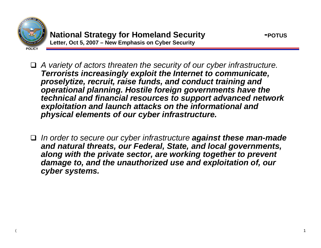

(

 *A variety of actors threaten the security of our cyber infrastructure. Terrorists increasingly exploit the Internet to communicate, proselytize, recruit, raise funds, and conduct training and operational planning. Hostile foreign governments have the technical and financial resources to support advanced network exploitation and launch attacks on the informational and physical elements of our cyber infrastructure.*

 *In order to secure our cyber infrastructure against these man-made and natural threats, our Federal, State, and local governments, along with the private sector, are working together to prevent damage to, and the unauthorized use and exploitation of, our cyber systems.*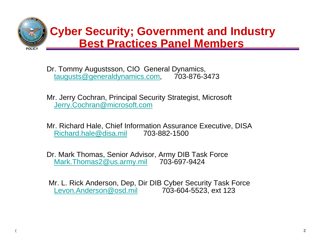

Dr. Tommy Augustsson, CIO General Dynamics, [taugusts@generaldynamics.com](mailto:taugusts@generaldynamics.com), 703-876-3473

Mr. Jerry Cochran, Principal Security Strategist, Microsoft [Jerry.Cochran@microsoft.com](mailto:Jerry.Cochran@microsoft.com)

Mr. Richard Hale, Chief Information Assurance Executive, DISA [Richard.hale@disa.mil](mailto:Richard.hale@disa.mil) 703-882-1500

Dr. Mark Thomas, Senior Advisor, Army DIB Task Force [Mark.Thomas2@us.army.mil](mailto:Mark.Thomas2@us.army.mil) 703-697-9424

(

Mr. L. Rick Anderson, Dep, Dir DIB Cyber Security Task Force [Levon.Anderson@osd.mil](mailto:Levon.Anderson@osd.mil) 703-604-5523, ext 123